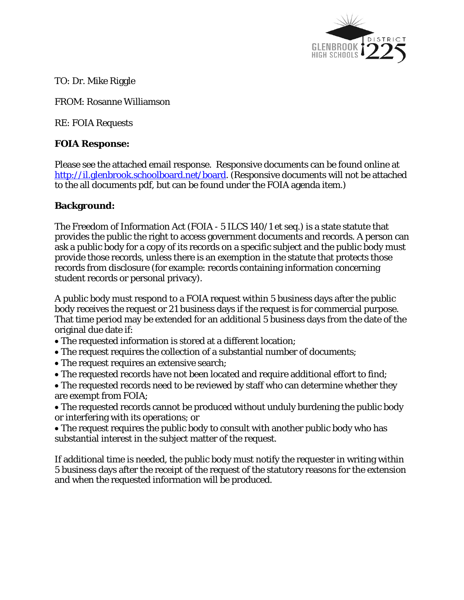

TO: Dr. Mike Riggle

FROM: Rosanne Williamson

RE: FOIA Requests

# **FOIA Response:**

Please see the attached email response. Responsive documents can be found online at [http://il.glenbrook.schoolboard.net/board.](http://il.glenbrook.schoolboard.net/board) (Responsive documents will not be attached to the all documents pdf, but can be found under the FOIA agenda item.)

## **Background:**

The Freedom of Information Act (FOIA - 5 ILCS 140/1 et seq.) is a state statute that provides the public the right to access government documents and records. A person can ask a public body for a copy of its records on a specific subject and the public body must provide those records, unless there is an exemption in the statute that protects those records from disclosure (for example: records containing information concerning student records or personal privacy).

A public body must respond to a FOIA request within 5 business days after the public body receives the request or 21 business days if the request is for commercial purpose. That time period may be extended for an additional 5 business days from the date of the original due date if:

- The requested information is stored at a different location;
- The request requires the collection of a substantial number of documents;
- The request requires an extensive search;
- The requested records have not been located and require additional effort to find;

• The requested records need to be reviewed by staff who can determine whether they are exempt from FOIA;

• The requested records cannot be produced without unduly burdening the public body or interfering with its operations; or

• The request requires the public body to consult with another public body who has substantial interest in the subject matter of the request.

If additional time is needed, the public body must notify the requester in writing within 5 business days after the receipt of the request of the statutory reasons for the extension and when the requested information will be produced.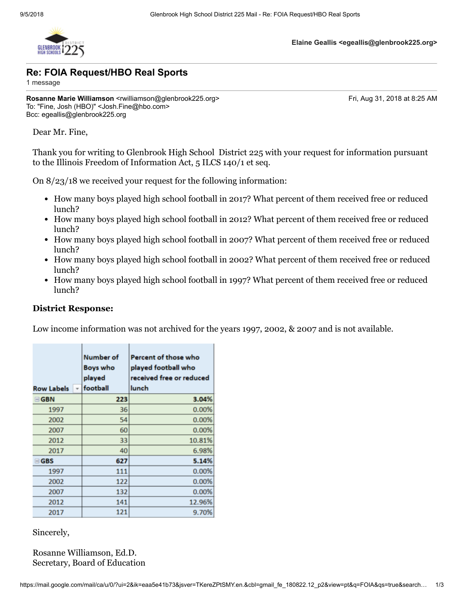

**Elaine Geallis <egeallis@glenbrook225.org>**

## **Re: FOIA Request/HBO Real Sports**

1 message

**Rosanne Marie Williamson** <rwilliamson@glenbrook225.org>
Fri, Aug 31, 2018 at 8:25 AM To: "Fine, Josh (HBO)" <Josh.Fine@hbo.com> Bcc: egeallis@glenbrook225.org

Dear Mr. Fine,

Thank you for writing to Glenbrook High School District 225 with your request for information pursuant to the Illinois Freedom of Information Act, 5 ILCS 140/1 et seq.

On 8/23/18 we received your request for the following information:

- How many boys played high school football in 2017? What percent of them received free or reduced lunch?
- How many boys played high school football in 2012? What percent of them received free or reduced lunch?
- How many boys played high school football in 2007? What percent of them received free or reduced lunch?
- How many boys played high school football in 2002? What percent of them received free or reduced lunch?
- How many boys played high school football in 1997? What percent of them received free or reduced lunch?

### **District Response:**

Low income information was not archived for the years 1997, 2002, & 2007 and is not available.

| <b>Row Labels</b> | Number of<br><b>Boys who</b><br>played<br>football | Percent of those who<br>played football who<br>received free or reduced<br>lunch |
|-------------------|----------------------------------------------------|----------------------------------------------------------------------------------|
| $\Box$ GBN        | 223                                                | 3.04%                                                                            |
| 1997              | 36                                                 | 0.00%                                                                            |
| 2002              | 54                                                 | 0.00%                                                                            |
| 2007              | 60                                                 | 0.00%                                                                            |
| 2012              | 33                                                 | 10.81%                                                                           |
| 2017              | 40                                                 | 6.98%                                                                            |
| $\Box$ GBS        | 627                                                | 5.14%                                                                            |
| 1997              | 111                                                | 0.00%                                                                            |
| 2002              | 122                                                | 0.00%                                                                            |
| 2007              | 132                                                | 0.00%                                                                            |
| 2012              | 141                                                | 12.96%                                                                           |
| 2017              | 121                                                | 9.70%                                                                            |

Sincerely,

Rosanne Williamson, Ed.D. Secretary, Board of Education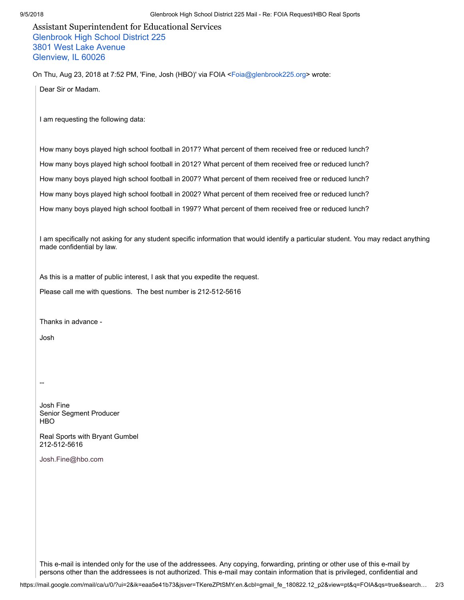Assistant Superintendent for Educational Services [Glenbrook High School District 225](https://maps.google.com/?q=Glenbrook+High+School+District+225+3801+West+Lake+Avenue+Glenview,+IL+60026&entry=gmail&source=g) [3801 West Lake Avenue](https://maps.google.com/?q=Glenbrook+High+School+District+225+3801+West+Lake+Avenue+Glenview,+IL+60026&entry=gmail&source=g) [Glenview, IL 60026](https://maps.google.com/?q=Glenbrook+High+School+District+225+3801+West+Lake+Avenue+Glenview,+IL+60026&entry=gmail&source=g)

On Thu, Aug 23, 2018 at 7:52 PM, 'Fine, Josh (HBO)' via FOIA <[Foia@glenbrook225.org](mailto:Foia@glenbrook225.org)> wrote:

Dear Sir or Madam.

I am requesting the following data:

How many boys played high school football in 2017? What percent of them received free or reduced lunch? How many boys played high school football in 2012? What percent of them received free or reduced lunch? How many boys played high school football in 2007? What percent of them received free or reduced lunch? How many boys played high school football in 2002? What percent of them received free or reduced lunch? How many boys played high school football in 1997? What percent of them received free or reduced lunch?

I am specifically not asking for any student specific information that would identify a particular student. You may redact anything made confidential by law.

As this is a matter of public interest, I ask that you expedite the request.

Please call me with questions. The best number is 212-512-5616

Thanks in advance -

Josh

--

Josh Fine Senior Segment Producer HBO

Real Sports with Bryant Gumbel 212-512-5616

[Josh.Fine@hbo.com](mailto:Josh.Fine@hbo.com)

This e-mail is intended only for the use of the addressees. Any copying, forwarding, printing or other use of this e-mail by persons other than the addressees is not authorized. This e-mail may contain information that is privileged, confidential and